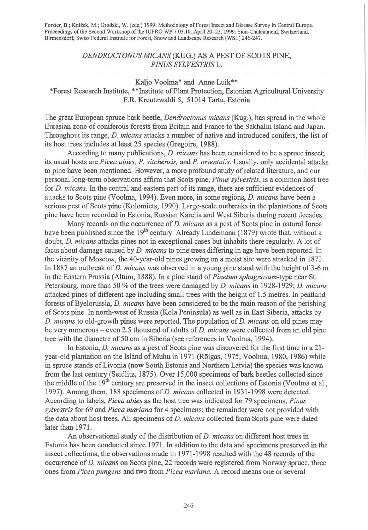Forster, B.; Knizek, M.; Grodzki, W. (eds.) 1999: Methodology of Forest Insect and Disease Survey in Central Europe. Proceedings of the Second Workshop of the IUFRO WP 7.03.10, April 20-23, 1999, Sion-Châteauneuf, Switzerland. Birmensdorf, Swiss Federal Institute for Forest, Snow and Landscape Research (WSL) 246-247.

## *DENDROCTONUS M/CANS* (KUG.) AS A PEST OF SCOTS PINE, *P !NUS SYLVESTRIS* L.

## Kaljo Voolma\* and Anne Luik\*\*

## \*Forest Research Institute, \*\*Institute of Plant Protection, Estonian Agricultural University F.R. Kreutzwaldi 5, 51014 Tartu, Estonia

The great European spruce bark beetle, *Dendroctonus micans* (Kug.), has spread in the whole Eurasian zone of coniferous forests from Britain and France to the Sakhalin Island and Japan. Throughout its range, *D. micans* attacks a number of native and introduced conifers, the list of its host trees includes at least 25 species (Gregoire, 1988).

According to many publications, *D. micans* has been considered to be a spruce insect; its usual hosts are *Picea abies, P. sitchensis,* and *P. orientalis.* Usually, only accidental attacks to pine have been mentioned. However, a more profound study of related literature, and our personal long-term observations affirm that Scots pine, *Pinus sylvestris,* is a common host tree for *D. micans*. In the central and eastern part of its range, there are sufficient evidences of attacks to Scots pine (Voolma, 1994). Even more, in some regions, *D. micans* have been a serious pest of Scots pine (Kolomiets, 1990). Large-scale outbreaks in the plantations of Scots pine have been recorded in Estonia, Russian Karelia and West Siberia during recent decades.

Many records on the occurrence of *D. micans* as a pest of Scots pine in natural forest have been published since the  $19<sup>th</sup>$  century. Already Lindemann (1879) wrote that, without a doubt, *D. micans* attacks pines not in exceptional cases but inhabits there regularly. A lot of facts about damage caused by *D. micans* to pine trees differing in age have been reported. In the vicinity of Moscow, the 40-year-old pines growing on a moist site were attacked in 1873. In 1887 an outbreak of *D. micans* was observed in a young pine stand with the height of 3-6 m in the Eastern Prussia (Altum, 1888). In a pine stand of *Pinetum sphagnosum-type* near St. Petersburg, more than 50 % of the trees were damaged by *D. micans* in 1928-1929; *D. micans*  attacked pines of different age including small trees with the height of 1.5 metres. In peatland forests of Byelorussia, *D. micans* have been considered to be the main reason of the perishing of Scots pine. In north-west of Russia (Kola Peninsula) as well as in East Siberia, attacks by *D. micans* to old-growth pines were reported. The population of *D. micans* on old pines may be very numerous - even 2.5 thousand of adults of *D. micans* were collected from an old pine tree with the diametre of 50 cm in Siberia (see references in Voolma, 1994).

In Estonia, *D. micans* as a pest of Scots pine was discovered for the first time in a 21 year-old plantation on the Island of Muhu in 1971 (Rõigas, 1975; Voolma, 1980, 1986) while in spruce stands of Livonia (now South Estonia and Northern Latvia) the species was known from the last century (Seidlitz, 1875). Over 15,000 specimens of bark beetles collected since the middle of the 19<sup>th</sup> century are preserved in the insect collections of Estonia (Voolma et al., 1997). Among them, 188 specimens of *D. micans* collected in 1931-1998 were detected. According to labels, *Picea abies* as the host tree was indicated for 79 specimens, *Pinus sylvestris* for 69 and *Picea mariana* for 4 specimens; the remainder were not provided with the data about host trees. All specimens of *D. micans* collected from Scots pine were dated later than 1971.

An observational study of the distribution of *D. micans* on different host trees in Estonia has been conducted since 1971. In addition to the data and specimens preserved in the insect collections, the observations made in 1971-1998 resulted with the 48 records of the occurrence of *D. micans* on Scots pine, 22 records were registered from Norway spruce, three ones from *Picea pungens* and two from *Picea mariana.* A record means one or several